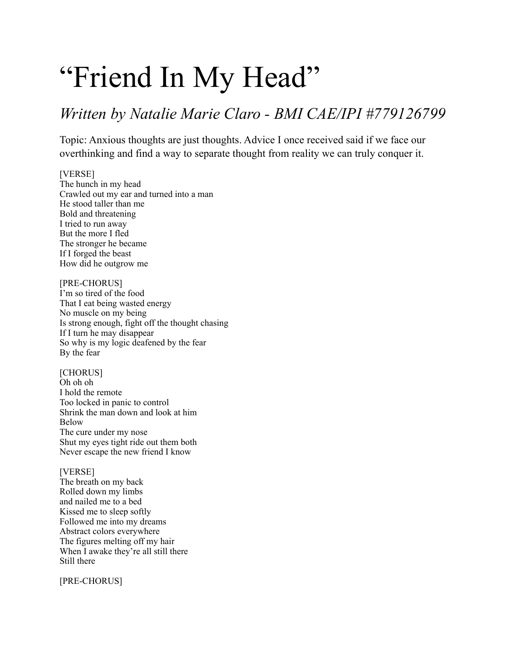# "Friend In My Head"

## *Written by Natalie Marie Claro - BMI CAE/IPI #779126799*

Topic: Anxious thoughts are just thoughts. Advice I once received said if we face our overthinking and find a way to separate thought from reality we can truly conquer it.

#### [VERSE]

The hunch in my head Crawled out my ear and turned into a man He stood taller than me Bold and threatening I tried to run away But the more I fled The stronger he became If I forged the beast How did he outgrow me

#### [PRE-CHORUS]

I'm so tired of the food That I eat being wasted energy No muscle on my being Is strong enough, fight off the thought chasing If I turn he may disappear So why is my logic deafened by the fear By the fear

[CHORUS] Oh oh oh I hold the remote Too locked in panic to control Shrink the man down and look at him Below The cure under my nose Shut my eyes tight ride out them both Never escape the new friend I know

#### [VERSE]

The breath on my back Rolled down my limbs and nailed me to a bed Kissed me to sleep softly Followed me into my dreams Abstract colors everywhere The figures melting off my hair When I awake they're all still there Still there

[PRE-CHORUS]